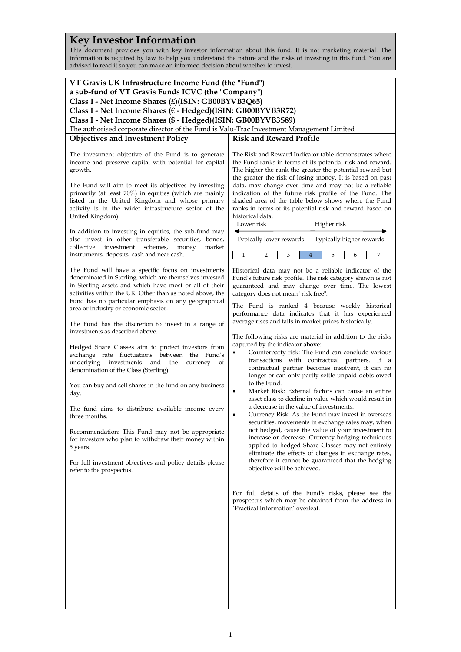# **Key Investor Information**

This document provides you with key investor information about this fund. It is not marketing material. The information is required by law to help you understand the nature and the risks of investing in this fund. You are advised to read it so you can make an informed decision about whether to invest.

| VT Gravis UK Infrastructure Income Fund (the "Fund")                                                                                                                                                                    |                                                                                                         |  |
|-------------------------------------------------------------------------------------------------------------------------------------------------------------------------------------------------------------------------|---------------------------------------------------------------------------------------------------------|--|
| a sub-fund of VT Gravis Funds ICVC (the "Company")                                                                                                                                                                      |                                                                                                         |  |
| Class I - Net Income Shares (£)(ISIN: GB00BYVB3Q65)                                                                                                                                                                     |                                                                                                         |  |
| Class I - Net Income Shares (€ - Hedged)(ISIN: GB00BYVB3R72)                                                                                                                                                            |                                                                                                         |  |
| Class I - Net Income Shares (\$ - Hedged)(ISIN: GB00BYVB3S89)                                                                                                                                                           |                                                                                                         |  |
| The authorised corporate director of the Fund is Valu-Trac Investment Management Limited                                                                                                                                |                                                                                                         |  |
| <b>Objectives and Investment Policy</b>                                                                                                                                                                                 | <b>Risk and Reward Profile</b>                                                                          |  |
| The investment objective of the Fund is to generate                                                                                                                                                                     | The Risk and Reward Indicator table demonstrates where                                                  |  |
| income and preserve capital with potential for capital                                                                                                                                                                  | the Fund ranks in terms of its potential risk and reward.                                               |  |
| growth.                                                                                                                                                                                                                 | The higher the rank the greater the potential reward but                                                |  |
|                                                                                                                                                                                                                         | the greater the risk of losing money. It is based on past                                               |  |
| The Fund will aim to meet its objectives by investing                                                                                                                                                                   | data, may change over time and may not be a reliable                                                    |  |
| primarily (at least 70%) in equities (which are mainly                                                                                                                                                                  | indication of the future risk profile of the Fund. The                                                  |  |
| listed in the United Kingdom and whose primary                                                                                                                                                                          | shaded area of the table below shows where the Fund                                                     |  |
| activity is in the wider infrastructure sector of the                                                                                                                                                                   | ranks in terms of its potential risk and reward based on                                                |  |
| United Kingdom).                                                                                                                                                                                                        | historical data.                                                                                        |  |
|                                                                                                                                                                                                                         | Lower risk<br>Higher risk                                                                               |  |
| In addition to investing in equities, the sub-fund may<br>also invest in other transferable securities, bonds,<br>collective<br>investment<br>schemes,<br>money<br>market<br>instruments, deposits, cash and near cash. | Typically higher rewards<br>Typically lower rewards                                                     |  |
|                                                                                                                                                                                                                         | 1<br>7<br>2<br>3<br>4<br>5<br>6                                                                         |  |
| The Fund will have a specific focus on investments                                                                                                                                                                      | Historical data may not be a reliable indicator of the                                                  |  |
| denominated in Sterling, which are themselves invested                                                                                                                                                                  | Fund's future risk profile. The risk category shown is not                                              |  |
| in Sterling assets and which have most or all of their                                                                                                                                                                  | guaranteed and may change over time. The lowest                                                         |  |
| activities within the UK. Other than as noted above, the                                                                                                                                                                | category does not mean "risk free".                                                                     |  |
| Fund has no particular emphasis on any geographical                                                                                                                                                                     | The Fund is ranked 4 because weekly historical                                                          |  |
| area or industry or economic sector.                                                                                                                                                                                    | performance data indicates that it has experienced                                                      |  |
|                                                                                                                                                                                                                         | average rises and falls in market prices historically.                                                  |  |
| The Fund has the discretion to invest in a range of<br>investments as described above.                                                                                                                                  |                                                                                                         |  |
|                                                                                                                                                                                                                         | The following risks are material in addition to the risks                                               |  |
| Hedged Share Classes aim to protect investors from                                                                                                                                                                      | captured by the indicator above:                                                                        |  |
| exchange rate fluctuations between the Fund's                                                                                                                                                                           | Counterparty risk: The Fund can conclude various                                                        |  |
| underlying investments and<br>the<br>currency<br>of                                                                                                                                                                     | transactions with contractual partners. If a                                                            |  |
| denomination of the Class (Sterling).                                                                                                                                                                                   | contractual partner becomes insolvent, it can no<br>longer or can only partly settle unpaid debts owed  |  |
|                                                                                                                                                                                                                         | to the Fund.                                                                                            |  |
| You can buy and sell shares in the fund on any business<br>day.                                                                                                                                                         | Market Risk: External factors can cause an entire<br>٠                                                  |  |
|                                                                                                                                                                                                                         | asset class to decline in value which would result in                                                   |  |
| The fund aims to distribute available income every                                                                                                                                                                      | a decrease in the value of investments.                                                                 |  |
| three months.                                                                                                                                                                                                           | Currency Risk: As the Fund may invest in overseas<br>٠                                                  |  |
|                                                                                                                                                                                                                         | securities, movements in exchange rates may, when                                                       |  |
| Recommendation: This Fund may not be appropriate                                                                                                                                                                        | not hedged, cause the value of your investment to                                                       |  |
| for investors who plan to withdraw their money within                                                                                                                                                                   | increase or decrease. Currency hedging techniques                                                       |  |
| 5 years.                                                                                                                                                                                                                | applied to hedged Share Classes may not entirely<br>eliminate the effects of changes in exchange rates, |  |
|                                                                                                                                                                                                                         | therefore it cannot be guaranteed that the hedging                                                      |  |
| For full investment objectives and policy details please<br>refer to the prospectus.                                                                                                                                    | objective will be achieved.                                                                             |  |
|                                                                                                                                                                                                                         |                                                                                                         |  |
|                                                                                                                                                                                                                         |                                                                                                         |  |
|                                                                                                                                                                                                                         | For full details of the Fund's risks, please see the                                                    |  |
|                                                                                                                                                                                                                         | prospectus which may be obtained from the address in                                                    |  |
|                                                                                                                                                                                                                         | 'Practical Information' overleaf.                                                                       |  |
|                                                                                                                                                                                                                         |                                                                                                         |  |
|                                                                                                                                                                                                                         |                                                                                                         |  |
|                                                                                                                                                                                                                         |                                                                                                         |  |
|                                                                                                                                                                                                                         |                                                                                                         |  |
|                                                                                                                                                                                                                         |                                                                                                         |  |
|                                                                                                                                                                                                                         |                                                                                                         |  |
|                                                                                                                                                                                                                         |                                                                                                         |  |
|                                                                                                                                                                                                                         |                                                                                                         |  |
|                                                                                                                                                                                                                         |                                                                                                         |  |
|                                                                                                                                                                                                                         |                                                                                                         |  |
|                                                                                                                                                                                                                         |                                                                                                         |  |